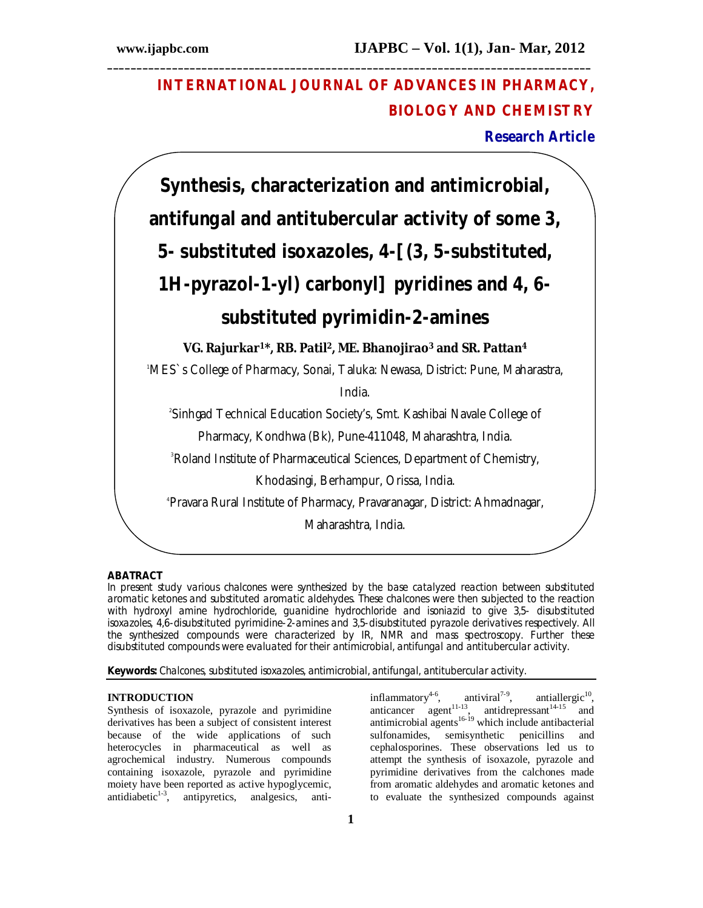# **INTERNATIONAL JOURNAL OF ADVANCES IN PHARMACY, BIOLOGY AND CHEMISTRY**

**\_\_\_\_\_\_\_\_\_\_\_\_\_\_\_\_\_\_\_\_\_\_\_\_\_\_\_\_\_\_\_\_\_\_\_\_\_\_\_\_\_\_\_\_\_\_\_\_\_\_\_\_\_\_\_\_\_\_\_\_\_\_\_\_\_\_\_\_\_\_\_\_\_\_\_\_\_\_\_\_\_\_**

**Research Article**



# **ABATRACT**

In present study various chalcones were synthesized by the base catalyzed reaction between substituted aromatic ketones and substituted aromatic aldehydes. These chalcones were then subjected to the reaction with hydroxyl amine hydrochloride, guanidine hydrochloride and isoniazid to give 3,5- disubstituted isoxazoles, 4,6-disubstituted pyrimidine-2-amines and 3,5-disubstituted pyrazole derivatives respectively. All the synthesized compounds were characterized by IR, NMR and mass spectroscopy. Further these disubstituted compounds were evaluated for their antimicrobial, antifungal and antitubercular activity.

**Keywords:** Chalcones, substituted isoxazoles, antimicrobial, antifungal, antitubercular activity.

#### **INTRODUCTION**

Synthesis of isoxazole, pyrazole and pyrimidine derivatives has been a subject of consistent interest because of the wide applications of such heterocycles in pharmaceutical as well as agrochemical industry. Numerous compounds containing isoxazole, pyrazole and pyrimidine moiety have been reported as active hypoglycemic, antidiabetic<sup>1-3</sup>, antipyretics, analgesics, antiinflammatory $4-6$ , antiviral<sup> $7-9$ </sup>,  $,$  antiallergic<sup>10</sup>, anticancer agent<sup>11-13</sup>, antidrepressant<sup>14-15</sup> and antimicrobial agents $16-19$  which include antibacterial sulfonamides, semisynthetic penicillins and cephalosporines. These observations led us to attempt the synthesis of isoxazole, pyrazole and pyrimidine derivatives from the calchones made from aromatic aldehydes and aromatic ketones and to evaluate the synthesized compounds against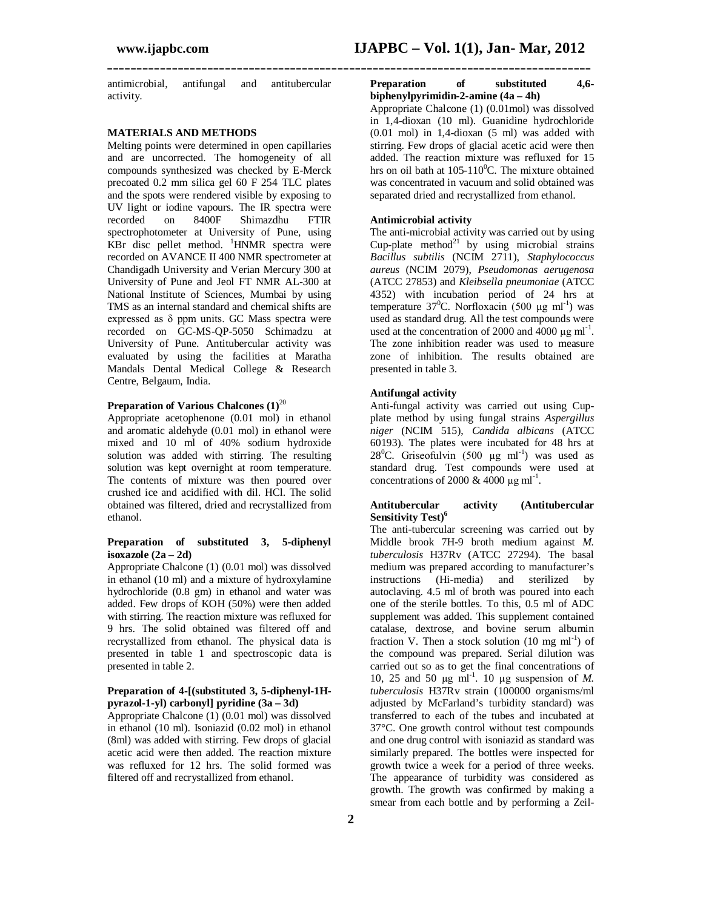antimicrobial, antifungal and antitubercular activity.

#### **MATERIALS AND METHODS**

Melting points were determined in open capillaries and are uncorrected. The homogeneity of all compounds synthesized was checked by E-Merck precoated 0.2 mm silica gel 60 F 254 TLC plates and the spots were rendered visible by exposing to UV light or iodine vapours. The IR spectra were<br>recorded on 8400F Shimazdhu FTIR on 8400F Shimazdhu FTIR spectrophotometer at University of Pune, using KBr disc pellet method.  ${}^{1}$ HNMR spectra were recorded on AVANCE II 400 NMR spectrometer at Chandigadh University and Verian Mercury 300 at University of Pune and Jeol FT NMR AL-300 at National Institute of Sciences, Mumbai by using TMS as an internal standard and chemical shifts are expressed as δ ppm units. GC Mass spectra were recorded on GC-MS-QP-5050 Schimadzu at University of Pune. Antitubercular activity was evaluated by using the facilities at Maratha Mandals Dental Medical College & Research Centre, Belgaum, India.

## **Preparation of Various Chalcones (1)**<sup>20</sup>

Appropriate acetophenone (0.01 mol) in ethanol and aromatic aldehyde (0.01 mol) in ethanol were mixed and 10 ml of 40% sodium hydroxide solution was added with stirring. The resulting solution was kept overnight at room temperature. The contents of mixture was then poured over crushed ice and acidified with dil. HCl. The solid obtained was filtered, dried and recrystallized from ethanol.

#### **Preparation of substituted 3, 5-diphenyl isoxazole (2a – 2d)**

Appropriate Chalcone (1) (0.01 mol) was dissolved in ethanol (10 ml) and a mixture of hydroxylamine hydrochloride (0.8 gm) in ethanol and water was added. Few drops of KOH (50%) were then added with stirring. The reaction mixture was refluxed for 9 hrs. The solid obtained was filtered off and recrystallized from ethanol. The physical data is presented in table 1 and spectroscopic data is presented in table 2.

## **Preparation of 4-[(substituted 3, 5-diphenyl-1Hpyrazol-1-yl) carbonyl] pyridine (3a – 3d)**

Appropriate Chalcone (1) (0.01 mol) was dissolved in ethanol (10 ml). Isoniazid (0.02 mol) in ethanol (8ml) was added with stirring. Few drops of glacial acetic acid were then added. The reaction mixture was refluxed for 12 hrs. The solid formed was filtered off and recrystallized from ethanol.

#### **Preparation of substituted 4,6 biphenylpyrimidin-2-amine (4a – 4h)**

Appropriate Chalcone (1) (0.01mol) was dissolved in 1,4-dioxan (10 ml). Guanidine hydrochloride (0.01 mol) in 1,4-dioxan (5 ml) was added with stirring. Few drops of glacial acetic acid were then added. The reaction mixture was refluxed for 15 hrs on oil bath at  $105-110$ <sup>o</sup>C. The mixture obtained was concentrated in vacuum and solid obtained was separated dried and recrystallized from ethanol.

## **Antimicrobial activity**

**\_\_\_\_\_\_\_\_\_\_\_\_\_\_\_\_\_\_\_\_\_\_\_\_\_\_\_\_\_\_\_\_\_\_\_\_\_\_\_\_\_\_\_\_\_\_\_\_\_\_\_\_\_\_\_\_\_\_\_\_\_\_\_\_\_\_\_\_\_\_\_\_\_\_\_\_\_\_\_\_\_\_**

The anti-microbial activity was carried out by using Cup-plate method<sup>21</sup> by using microbial strains *Bacillus subtilis* (NCIM 2711), *Staphylococcus aureus* (NCIM 2079), *Pseudomonas aerugenosa* (ATCC 27853) and *Kleibsella pneumoniae* (ATCC 4352) with incubation period of 24 hrs at temperature  $37^0$ C. Norfloxacin (500 µg ml<sup>-1</sup>) was used as standard drug. All the test compounds were used at the concentration of 2000 and 4000  $\mu$ g ml<sup>-1</sup>. The zone inhibition reader was used to measure zone of inhibition. The results obtained are presented in table 3.

#### **Antifungal activity**

Anti-fungal activity was carried out using Cupplate method by using fungal strains *Aspergillus niger* (NCIM 515), *Candida albicans* (ATCC 60193). The plates were incubated for 48 hrs at 28<sup>0</sup>C. Griseofulvin (500 µg ml<sup>-1</sup>) was used as standard drug. Test compounds were used at concentrations of 2000 & 4000  $\mu$ g ml<sup>-1</sup>.

## **Antitubercular activity (Antitubercular Sensitivity Test) 6**

The anti-tubercular screening was carried out by Middle brook 7H-9 broth medium against *M. tuberculosis* H37Rv (ATCC 27294). The basal medium was prepared according to manufacturer's instructions (Hi-media) and sterilized by autoclaving. 4.5 ml of broth was poured into each one of the sterile bottles. To this, 0.5 ml of ADC supplement was added. This supplement contained catalase, dextrose, and bovine serum albumin fraction V. Then a stock solution  $(10 \text{ mg ml}^{-1})$  of the compound was prepared. Serial dilution was carried out so as to get the final concentrations of 10, 25 and 50  $\mu$ g ml<sup>-1</sup>. 10  $\mu$ g suspension of *M*. *tuberculosis* H37Rv strain (100000 organisms/ml adjusted by McFarland's turbidity standard) was transferred to each of the tubes and incubated at 37°C. One growth control without test compounds and one drug control with isoniazid as standard was similarly prepared. The bottles were inspected for growth twice a week for a period of three weeks. The appearance of turbidity was considered as growth. The growth was confirmed by making a smear from each bottle and by performing a Zeil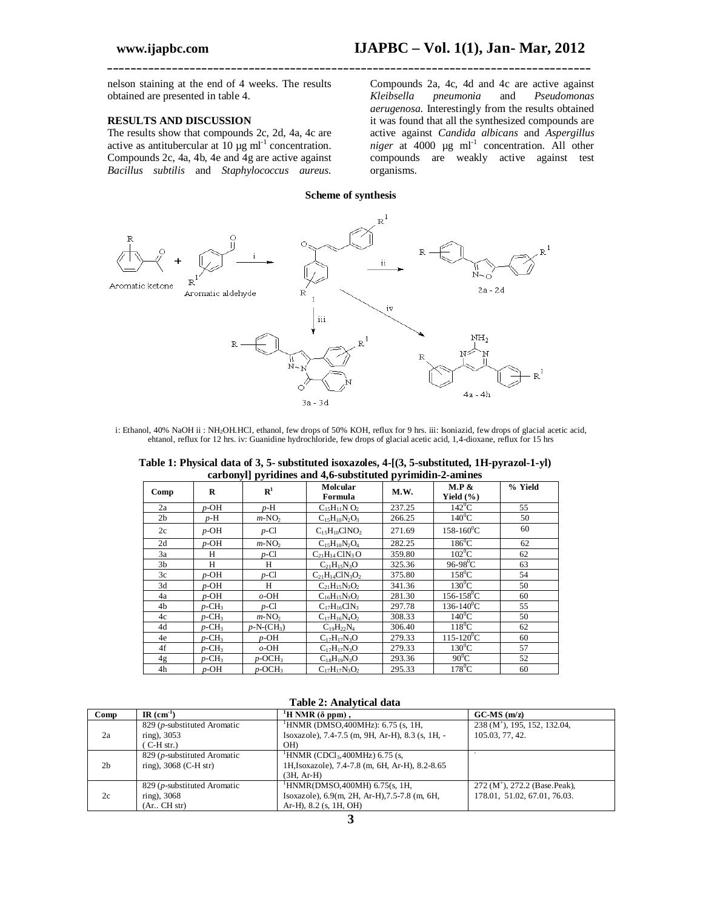nelson staining at the end of 4 weeks. The results obtained are presented in table 4.

## **RESULTS AND DISCUSSION**

The results show that compounds 2c, 2d, 4a, 4c are active as antitubercular at  $10 \mu g$  ml<sup>-1</sup> concentration. Compounds 2c, 4a, 4b, 4e and 4g are active against *Bacillus subtilis* and *Staphylococcus aureus.* 

Compounds 2a, 4c, 4d and 4c are active against *Kleibsella pneumonia* and *Pseudomonas aerugenosa.* Interestingly from the results obtained it was found that all the synthesized compounds are active against *Candida albicans* and *Aspergillus*   $niger$  at 4000  $\mu$ g ml<sup>-1</sup> concentration. All other compounds are weakly active against test organisms.

**Scheme of synthesis**

**\_\_\_\_\_\_\_\_\_\_\_\_\_\_\_\_\_\_\_\_\_\_\_\_\_\_\_\_\_\_\_\_\_\_\_\_\_\_\_\_\_\_\_\_\_\_\_\_\_\_\_\_\_\_\_\_\_\_\_\_\_\_\_\_\_\_\_\_\_\_\_\_\_\_\_\_\_\_\_\_\_\_**



i: Ethanol, 40% NaOH ii : NH2OH.HCl, ethanol, few drops of 50% KOH, reflux for 9 hrs. iii: Isoniazid, few drops of glacial acetic acid, ehtanol, reflux for 12 hrs. iv: Guanidine hydrochloride, few drops of glacial acetic acid, 1,4-dioxane, reflux for 15 hrs

| Table 1: Physical data of 3, 5- substituted isoxazoles, 4-[(3, 5-substituted, 1H-pyrazol-1-yl) |  |
|------------------------------------------------------------------------------------------------|--|
| carbonyl pyridines and 4,6-substituted pyrimidin-2-amines                                      |  |

| $\frac{1}{2}$<br>$\sim$ |                      |                       |                                               |        |                            |         |  |  |  |
|-------------------------|----------------------|-----------------------|-----------------------------------------------|--------|----------------------------|---------|--|--|--|
| Comp                    | $\bf{R}$             | ${\bf R}^1$           | Molcular<br>Formula                           | M.W.   | M.P &<br>Yield $(\% )$     | % Yield |  |  |  |
| 2a                      | $p$ -OH              | $p-H$                 | $C_{15}H_{11}N O_2$                           | 237.25 | $142^{\circ}$ C            | 55      |  |  |  |
| 2 <sub>b</sub>          | p-H                  | $m-NO2$               | $C_{15}H_{10}N_2O_3$                          | 266.25 | $140^0C$                   | 50      |  |  |  |
| 2c                      | $p$ -OH              | $p$ -Cl               | $C_1$ <sub>5</sub> $H_{10}$ ClNO <sub>2</sub> | 271.69 | $158 - 160^0C$             | 60      |  |  |  |
| 2d                      | $p$ -OH              | $m-NO2$               | $C_{15}H_{10}N_2O_4$                          | 282.25 | $186^{\circ}$ C            | 62      |  |  |  |
| 3a                      | H                    | $p$ -Cl               | $C_{21}H_{14}CIN_3O$                          | 359.80 | $102^{\circ}$ C            | 62      |  |  |  |
| 3 <sub>b</sub>          | H                    | H                     | $C_{21}H_{15}N_3O$                            | 325.36 | $96-98^0C$                 | 63      |  |  |  |
| 3c                      | $p$ -OH              | $p$ -Cl               | $C_{21}H_{14}ClN_3O_2$                        | 375.80 | $158^0$ C                  | 54      |  |  |  |
| 3d                      | $p$ -OH              | H                     | $C_{21}H_{15}N_3O_2$                          | 341.36 | $130^0$ C                  | 50      |  |  |  |
| 4a                      | p-OH                 | $o$ -OH               | $C_{16}H_{15}N_3O_2$                          | 281.30 | $156 - 158^{\circ}C$       | 60      |  |  |  |
| 4b                      | $p$ -CH <sub>3</sub> | $p$ -Cl               | $C_{17}H_{16}C1N_3$                           | 297.78 | $136 - 140$ <sup>o</sup> C | 55      |  |  |  |
| 4c                      | $p$ -CH <sub>3</sub> | $m-NO2$               | $C_{17}H_{16}N_4O_2$                          | 308.33 | $140^0$ C                  | 50      |  |  |  |
| 4d                      | $p$ -CH <sub>3</sub> | $p-N-(CH_3)$          | $C_{19}H_{22}N_4$                             | 306.40 | $118^0C$                   | 62      |  |  |  |
| 4e                      | $p$ -CH <sub>3</sub> | $p$ -OH               | $C_{17}H_{17}N_3O$                            | 279.33 | $115 - 120$ <sup>o</sup> C | 60      |  |  |  |
| 4f                      | $p$ -CH <sub>3</sub> | $o$ -OH               | $C_{17}H_{17}N_3O$                            | 279.33 | $130^0$ C                  | 57      |  |  |  |
| 4g                      | $p$ -CH <sub>3</sub> | $p$ -OCH <sub>3</sub> | $C_{18}H_{19}N_3O$                            | 293.36 | $90^0C$                    | 52      |  |  |  |
| 4h                      | $p$ -OH              | $p$ -OCH <sub>3</sub> | $C_{17}H_{17}N_3O_2$                          | 295.33 | $178^0$ C                  | 60      |  |  |  |

|  |  | Table 2: Analytical data |  |
|--|--|--------------------------|--|
|--|--|--------------------------|--|

| Comp           | $IR$ (cm <sup>-1</sup> )    | $H NMR(\delta ppm)$ ,                            | $GC-MS$ (m/z)                                 |
|----------------|-----------------------------|--------------------------------------------------|-----------------------------------------------|
|                | 829 (p-substituted Aromatic | <sup>1</sup> HNMR (DMSO, 400MHz): 6.75 (s, 1H,   | 238 (M <sup>+</sup> ), 195, 152, 132.04,      |
| 2a             | ring), 3053                 | Isoxazole), 7.4-7.5 (m, 9H, Ar-H), 8.3 (s, 1H, - | 105.03, 77, 42.                               |
|                | $(C-H str.)$                | <b>OH</b>                                        |                                               |
|                | 829 (p-substituted Aromatic | $^1$ HNMR (CDCl <sub>3</sub> ,400MHz) 6.75 (s,   |                                               |
| 2 <sub>b</sub> | ring), $3068$ (C-H str)     | 1H, Isoxazole), 7.4-7.8 (m, 6H, Ar-H), 8.2-8.65  |                                               |
|                |                             | $(3H. Ar-H)$                                     |                                               |
|                | 829 (p-substituted Aromatic | $^1$ HNMR(DMSO, 400MH) 6.75(s, 1H,               | $272$ (M <sup>+</sup> ), $272.2$ (Base.Peak), |
| 2c             | ring), 3068                 | Isoxazole), 6.9(m, 2H, Ar-H), 7.5-7.8 (m, 6H,    | 178.01, 51.02, 67.01, 76.03.                  |
|                | (Ar, CH str)                | Ar-H), $8.2$ (s, 1H, OH)                         |                                               |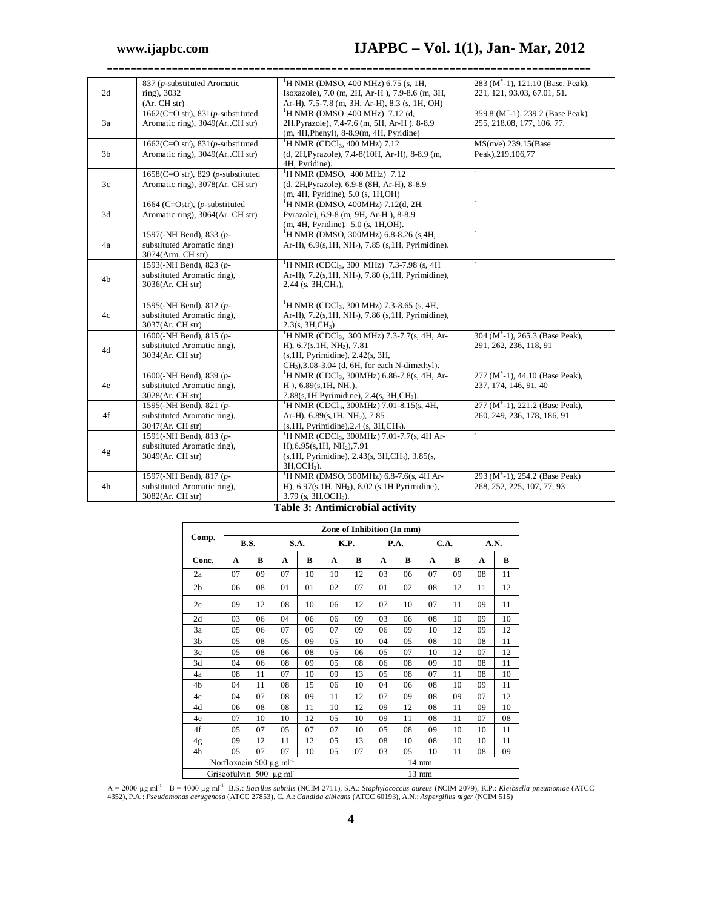|                | 837 (p-substituted Aromatic           | ${}^{1}$ H NMR (DMSO, 400 MHz) 6.75 (s, 1H,                         | 283 (M <sup>+</sup> -1), 121.10 (Base. Peak), |
|----------------|---------------------------------------|---------------------------------------------------------------------|-----------------------------------------------|
| 2d             | ring), 3032                           | Isoxazole), 7.0 (m, 2H, Ar-H), 7.9-8.6 (m, 3H,                      | 221, 121, 93.03, 67.01, 51.                   |
|                | (Ar. CH str)                          | Ar-H), 7.5-7.8 (m, 3H, Ar-H), 8.3 (s, 1H, OH)                       |                                               |
|                | 1662(C=O str), $831(p$ -substituted   | <sup>1</sup> H NMR (DMSO ,400 MHz) 7.12 (d,                         | 359.8 (M <sup>+</sup> -1), 239.2 (Base Peak), |
| 3a             | Aromatic ring), 3049(Ar. CH str)      | 2H, Pyrazole), 7.4-7.6 (m, 5H, Ar-H), 8-8.9                         | 255, 218.08, 177, 106, 77.                    |
|                |                                       | (m, 4H, Phenyl), 8-8.9(m, 4H, Pyridine)                             |                                               |
|                | 1662(C=O str), $831(p$ -substituted   | <sup>1</sup> H NMR (CDCl <sub>3</sub> , 400 MHz) 7.12               | MS(m/e) 239.15(Base                           |
| 3 <sub>b</sub> | Aromatic ring), 3049(ArCH str)        | (d, 2H, Pyrazole), 7.4-8(10H, Ar-H), 8-8.9 (m,                      | Peak), 219, 106, 77                           |
|                |                                       | 4H, Pyridine).                                                      |                                               |
|                | 1658(C=O str), 829 ( $p$ -substituted | <sup>1</sup> H NMR (DMSO, $400$ MHz) 7.12                           |                                               |
| 3c             | Aromatic ring), 3078(Ar. CH str)      | (d, 2H, Pyrazole), 6.9-8 (8H, Ar-H), 8-8.9                          |                                               |
|                |                                       | (m, 4H, Pyridine), 5.0 (s, 1H, OH)                                  |                                               |
|                | 1664 (C=Ostr), $(p$ -substituted      | <sup>1</sup> H NMR (DMSO, 400MHz) 7.12(d, 2H,                       |                                               |
| 3d             | Aromatic ring), 3064(Ar. CH str)      | Pyrazole), 6.9-8 (m, 9H, Ar-H), 8-8.9                               |                                               |
|                |                                       | (m, 4H, Pyridine), 5.0 (s, 1H, OH).                                 |                                               |
|                | 1597(-NH Bend), 833 (p-               | <sup>1</sup> H NMR (DMSO, 300MHz) 6.8-8.26 (s, 4H,                  |                                               |
| 4a             | substituted Aromatic ring)            | Ar-H), $6.9(s, 1H, NH2)$ , 7.85 (s, 1H, Pyrimidine).                |                                               |
|                | 3074(Arm. CH str)                     |                                                                     |                                               |
|                | 1593(-NH Bend), 823 (p-               | <sup>1</sup> H NMR (CDCl <sub>3</sub> , 300 MHz) 7.3-7.98 (s, 4H    |                                               |
|                | substituted Aromatic ring),           | Ar-H), 7.2(s, 1H, NH <sub>2</sub> ), 7.80 (s, 1H, Pyrimidine),      |                                               |
| 4b             | 3036(Ar. CH str)                      | $2.44$ (s, $3H,CH_3$ ),                                             |                                               |
|                |                                       |                                                                     |                                               |
|                | 1595(-NH Bend), 812 (p-               | <sup>1</sup> H NMR (CDCl <sub>3</sub> , 300 MHz) 7.3-8.65 (s, 4H,   |                                               |
| 4c             | substituted Aromatic ring),           | Ar-H), $7.2(s, 1H, NH2)$ , $7.86(s, 1H, Pyrimidine)$ ,              |                                               |
|                | 3037(Ar. CH str)                      | 2.3(s, 3H, CH <sub>3</sub> )                                        |                                               |
|                | 1600(-NH Bend), 815 (p-               | <sup>1</sup> H NMR (CDCl <sub>3</sub> , 300 MHz) 7.3-7.7(s, 4H, Ar- | 304 ( $M^{\dagger}$ -1), 265.3 (Base Peak),   |
| 4d             | substituted Aromatic ring),           | H), $6.7(s, 1H, NH2)$ , $7.81$                                      | 291, 262, 236, 118, 91                        |
|                | 3034(Ar. CH str)                      | $(s, 1H, Pyrimidine)$ , 2.42 $(s, 3H,$                              |                                               |
|                |                                       | $CH3$ , 3.08-3.04 (d, 6H, for each N-dimethyl).                     |                                               |
|                | 1600(-NH Bend), 839 (p-               | <sup>1</sup> H NMR (CDCl <sub>3</sub> , 300MHz) 6.86-7.8(s, 4H, Ar- | 277 ( $M^{\dagger}$ -1), 44.10 (Base Peak),   |
| 4e             | substituted Aromatic ring),           | $H$ ), 6.89(s, 1H, NH <sub>2</sub> ),                               | 237, 174, 146, 91, 40                         |
|                | 3028(Ar. CH str)                      | 7.88(s, 1H Pyrimidine), 2.4(s, 3H, CH <sub>3</sub> ).               |                                               |
|                | 1595(-NH Bend), 821 (p-               | <sup>1</sup> H NMR (CDCl <sub>3</sub> , 300MHz) 7.01-8.15(s, 4H,    | 277 ( $M^+$ -1), 221.2 (Base Peak),           |
| 4f             | substituted Aromatic ring),           | Ar-H), $6.89(s, 1H, NH2)$ , $7.85$                                  | 260, 249, 236, 178, 186, 91                   |
|                | 3047(Ar. CH str)                      | $(s, 1H, Pyrimidine), 2.4$ $(s, 3H, CH3).$                          |                                               |
|                | 1591(-NH Bend), 813 (p-               | <sup>1</sup> H NMR (CDCl <sub>3</sub> , 300MHz) 7.01-7.7(s, 4H Ar-  |                                               |
| 4g             | substituted Aromatic ring),           | H), 6.95(s, 1H, NH <sub>2</sub> ), 7.91                             |                                               |
|                | 3049(Ar. CH str)                      | (s, 1H, Pyrimidine), 2.43(s, 3H, CH <sub>3</sub> ), 3.85(s,         |                                               |
|                |                                       | $3H, OCH3$ ).                                                       |                                               |
|                | 1597(-NH Bend), 817 (p-               | <sup>1</sup> H NMR (DMSO, 300MHz) 6.8-7.6(s, 4H Ar-                 | 293 (M <sup>+</sup> -1), 254.2 (Base Peak)    |
| 4h             | substituted Aromatic ring),           | H), $6.97(s, 1H, NH2)$ , $8.02(s, 1H$ Pyrimidine),                  | 268, 252, 225, 107, 77, 93                    |
|                | 3082(Ar. CH str)                      | $3.79$ (s, $3H, OCH3$ ).                                            |                                               |
|                |                                       | $\overline{\cdots}$                                                 |                                               |

**\_\_\_\_\_\_\_\_\_\_\_\_\_\_\_\_\_\_\_\_\_\_\_\_\_\_\_\_\_\_\_\_\_\_\_\_\_\_\_\_\_\_\_\_\_\_\_\_\_\_\_\_\_\_\_\_\_\_\_\_\_\_\_\_\_\_\_\_\_\_\_\_\_\_\_\_\_\_\_\_\_\_**

#### **Table 3: Antimicrobial activity**

|                                           | Zone of Inhibition (In mm) |    |       |    |      |    |      |       |      |    |      |    |
|-------------------------------------------|----------------------------|----|-------|----|------|----|------|-------|------|----|------|----|
| Comp.                                     | B.S.                       |    | S.A.  |    | K.P. |    | P.A. |       | C.A. |    | A.N. |    |
| Conc.                                     | A                          | В  | A     | B  | A    | B  | A    | B     | A    | B  | A    | B  |
| 2a                                        | 07                         | 09 | 07    | 10 | 10   | 12 | 03   | 06    | 07   | 09 | 08   | 11 |
| 2 <sub>b</sub>                            | 06                         | 08 | 01    | 01 | 02   | 07 | 01   | 02    | 08   | 12 | 11   | 12 |
| 2c                                        | 09                         | 12 | 08    | 10 | 06   | 12 | 07   | 10    | 07   | 11 | 09   | 11 |
| 2d                                        | 03                         | 06 | 04    | 06 | 06   | 09 | 03   | 06    | 08   | 10 | 09   | 10 |
| 3a                                        | 05                         | 06 | 07    | 09 | 07   | 09 | 06   | 09    | 10   | 12 | 09   | 12 |
| 3b                                        | 05                         | 08 | 05    | 09 | 05   | 10 | 04   | 05    | 08   | 10 | 08   | 11 |
| 3c                                        | 05                         | 08 | 06    | 08 | 05   | 06 | 05   | 07    | 10   | 12 | 07   | 12 |
| 3d                                        | 04                         | 06 | 08    | 09 | 05   | 08 | 06   | 08    | 09   | 10 | 08   | 11 |
| 4a                                        | 08                         | 11 | 07    | 10 | 09   | 13 | 05   | 08    | 07   | 11 | 08   | 10 |
| 4b                                        | 04                         | 11 | 08    | 15 | 06   | 10 | 04   | 06    | 08   | 10 | 09   | 11 |
| 4c                                        | 04                         | 07 | 08    | 09 | 11   | 12 | 07   | 09    | 08   | 09 | 07   | 12 |
| 4d                                        | 06                         | 08 | 08    | 11 | 10   | 12 | 09   | 12    | 08   | 11 | 09   | 10 |
| 4e                                        | 07                         | 10 | 10    | 12 | 05   | 10 | 09   | 11    | 08   | 11 | 07   | 08 |
| 4f                                        | 05                         | 07 | 05    | 07 | 07   | 10 | 05   | 08    | 09   | 10 | 10   | 11 |
| 4g                                        | 09                         | 12 | 11    | 12 | 05   | 13 | 08   | 10    | 08   | 10 | 10   | 11 |
| 4h                                        | 05                         | 07 | 07    | 10 | 05   | 07 | 03   | 05    | 10   | 11 | 08   | 09 |
| Norfloxacin 500 $\mu$ g ml <sup>-1</sup>  |                            |    | 14 mm |    |      |    |      |       |      |    |      |    |
| Griseofulvin 500 $\mu$ g ml <sup>-1</sup> |                            |    |       |    |      |    |      | 13 mm |      |    |      |    |

A = 2000 µg ml<sup>-1</sup> B = 4000 µg ml<sup>-1</sup> B.S.: Bacillus subtilis (NCIM 2711), S.A.: Staphylococcus aureus (NCIM 2079), K.P.: Kleibsella pneumoniae (ATCC<br>4352), P.A.: Pseudomonas aerugenosa (ATCC 27853), C. A.: Candida albican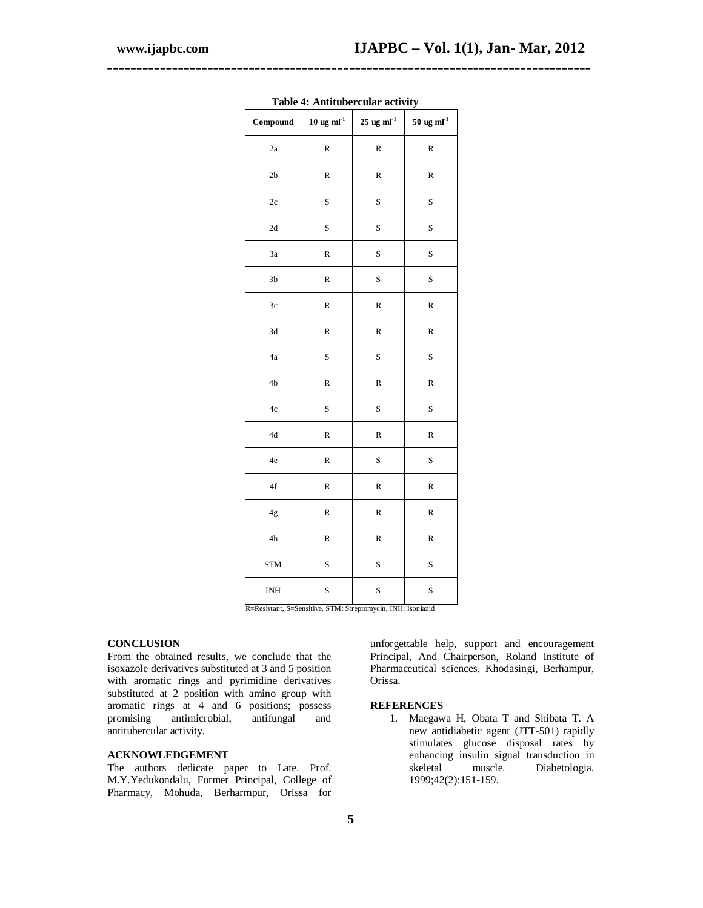| Compound                                              | $10~{\rm ug}~{\rm ml}^{\text{-}1}$ | $25$ ug ml <sup>-1</sup>  | $50 \text{ ug } \text{ml}^{-1}$ |
|-------------------------------------------------------|------------------------------------|---------------------------|---------------------------------|
| 2a                                                    | ${\bf R}$                          | ${\bf R}$                 | $\mathbf R$                     |
| 2 <sub>b</sub>                                        | ${\bf R}$                          | $\mathbb R$               | $\mathbf R$                     |
| 2c                                                    | $\rm S$                            | $\rm S$                   | S                               |
| 2d                                                    | S                                  | S                         | S                               |
| 3a                                                    | R                                  | $\rm S$                   | S                               |
| 3 <sub>b</sub>                                        | R                                  | S                         | S                               |
| 3c                                                    | R                                  | $\mathbb R$               | $\mathbf R$                     |
| 3d                                                    | R                                  | $\mathbb R$               | R                               |
| 4a                                                    | S                                  | S                         | S                               |
| 4 <sub>b</sub>                                        | R                                  | $\mathbb R$               | $\mathbf R$                     |
| 4c                                                    | S                                  | S                         | S                               |
| $4\mathrm{d}$                                         | R                                  | ${\bf R}$                 | $\mathbf R$                     |
| $4\mathrm{e}$                                         | ${\mathbb R}$                      | $\rm S$                   | $\mathbf S$                     |
| 4f                                                    | ${\bf R}$                          | $\mathbb R$               | $\mathbf R$                     |
| 4g                                                    | R                                  | $\mathbb R$               | R                               |
| $4\mathrm{h}$                                         | R                                  | $\mathbb R$               | R                               |
| <b>STM</b>                                            | S                                  | S                         | S                               |
| <b>INH</b><br>$\overline{R}$<br><b>Pecistant</b><br>Q | S<br><b>STM</b><br>Sencitive<br>Q  | S<br>INH·<br>wcin<br>ent. | S<br>Ison<br>hivei              |

**Table 4: Antitubercular activity**

**\_\_\_\_\_\_\_\_\_\_\_\_\_\_\_\_\_\_\_\_\_\_\_\_\_\_\_\_\_\_\_\_\_\_\_\_\_\_\_\_\_\_\_\_\_\_\_\_\_\_\_\_\_\_\_\_\_\_\_\_\_\_\_\_\_\_\_\_\_\_\_\_\_\_\_\_\_\_\_\_\_\_**

R=Resistant, S=Sensitive, STM: Streptomycin, INH: Isoniazid

# **CONCLUSION**

From the obtained results, we conclude that the isoxazole derivatives substituted at 3 and 5 position with aromatic rings and pyrimidine derivatives substituted at 2 position with amino group with aromatic rings at 4 and 6 positions; possess<br>promising antimicrobial, antifungal and promising antimicrobial, antifungal and antitubercular activity.

## **ACKNOWLEDGEMENT**

The authors dedicate paper to Late. Prof. M.Y.Yedukondalu, Former Principal, College of Pharmacy, Mohuda, Berharmpur, Orissa for

unforgettable help, support and encouragement Principal, And Chairperson, Roland Institute of Pharmaceutical sciences, Khodasingi, Berhampur, Orissa.

## **REFERENCES**

1. Maegawa H, Obata T and Shibata T. A new antidiabetic agent (JTT-501) rapidly stimulates glucose disposal rates by enhancing insulin signal transduction in skeletal muscle. Diabetologia. 1999;42(2):151-159.